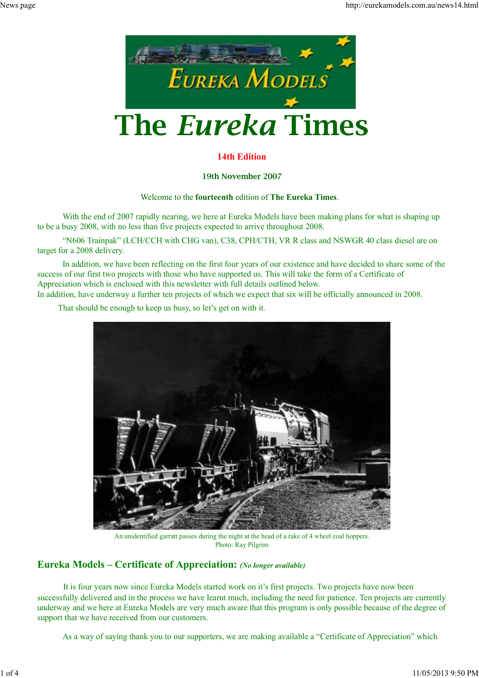

## **14th Edition**

#### **19th November 2007**

### Welcome to the **fourteenth** edition of **The Eureka Times**.

With the end of 2007 rapidly nearing, we here at Eureka Models have been making plans for what is shaping up to be a busy 2008, with no less than five projects expected to arrive throughout 2008.

 "N606 Trainpak" (LCH/CCH with CHG van), C38, CPH/CTH, VR R class and NSWGR 40 class diesel are on target for a 2008 delivery.

 In addition, we have been reflecting on the first four years of our existence and have decided to share some of the success of our first two projects with those who have supported us. This will take the form of a Certificate of Appreciation which is enclosed with this newsletter with full details outlined below.

In addition, have underway a further ten projects of which we expect that six will be officially announced in 2008.

That should be enough to keep us busy, so let's get on with it.



An unidentified garratt passes during the night at the head of a rake of 4 wheel coal hoppers. Photo: Ray Pilgrim

## **Eureka Models – Certificate of Appreciation:** *(No longer available)*

It is four years now since Eureka Models started work on it's first projects. Two projects have now been successfully delivered and in the process we have learnt much, including the need for patience. Ten projects are currently underway and we here at Eureka Models are very much aware that this program is only possible because of the degree of support that we have received from our customers.

As a way of saying thank you to our supporters, we are making available a "Certificate of Appreciation" which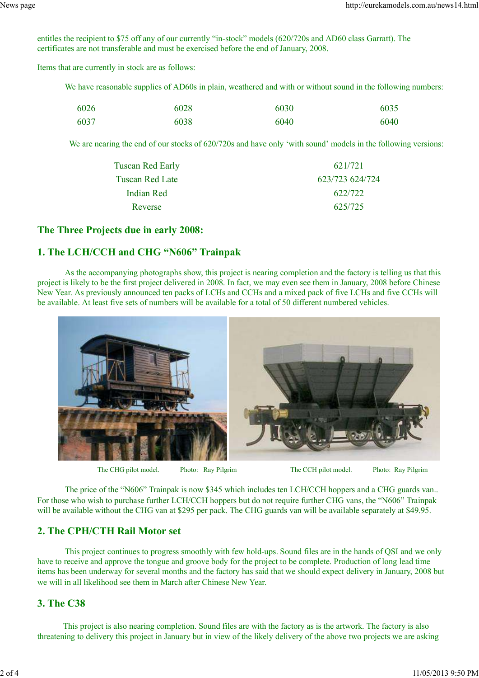entitles the recipient to \$75 off any of our currently "in-stock" models (620/720s and AD60 class Garratt). The certificates are not transferable and must be exercised before the end of January, 2008.

Items that are currently in stock are as follows:

We have reasonable supplies of AD60s in plain, weathered and with or without sound in the following numbers:

| 6026 | 6028 | 6030 | 6035 |
|------|------|------|------|
| 6037 | 6038 | 6040 | 6040 |

We are nearing the end of our stocks of 620/720s and have only 'with sound' models in the following versions:

| Tuscan Red Early | 621/721         |
|------------------|-----------------|
| Tuscan Red Late  | 623/723 624/724 |
| Indian Red       | 622/722         |
| Reverse          | 625/725         |
|                  |                 |

#### **The Three Projects due in early 2008:**

## **1. The LCH/CCH and CHG "N606" Trainpak**

As the accompanying photographs show, this project is nearing completion and the factory is telling us that this project is likely to be the first project delivered in 2008. In fact, we may even see them in January, 2008 before Chinese New Year. As previously announced ten packs of LCHs and CCHs and a mixed pack of five LCHs and five CCHs will be available. At least five sets of numbers will be available for a total of 50 different numbered vehicles.



The CHG pilot model. Photo: Ray Pilgrim The CCH pilot model. Photo: Ray Pilgrim

 The price of the "N606" Trainpak is now \$345 which includes ten LCH/CCH hoppers and a CHG guards van.. For those who wish to purchase further LCH/CCH hoppers but do not require further CHG vans, the "N606" Trainpak will be available without the CHG van at \$295 per pack. The CHG guards van will be available separately at \$49.95.

## **2. The CPH/CTH Rail Motor set**

This project continues to progress smoothly with few hold-ups. Sound files are in the hands of QSI and we only have to receive and approve the tongue and groove body for the project to be complete. Production of long lead time items has been underway for several months and the factory has said that we should expect delivery in January, 2008 but we will in all likelihood see them in March after Chinese New Year.

### **3. The C38**

This project is also nearing completion. Sound files are with the factory as is the artwork. The factory is also threatening to delivery this project in January but in view of the likely delivery of the above two projects we are asking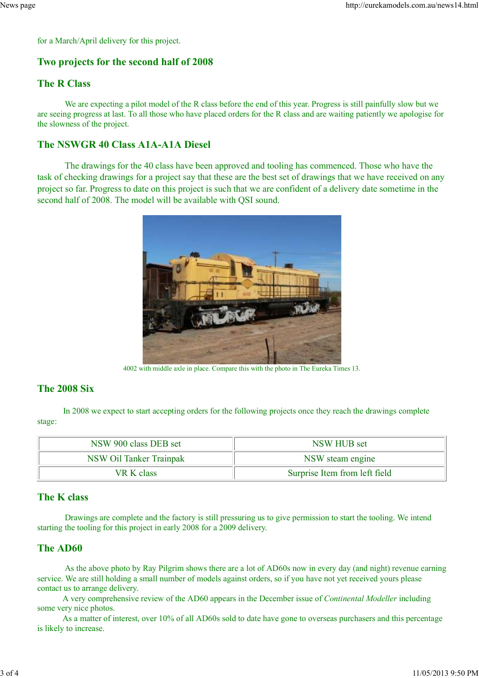for a March/April delivery for this project.

# **Two projects for the second half of 2008**

# **The R Class**

We are expecting a pilot model of the R class before the end of this year. Progress is still painfully slow but we are seeing progress at last. To all those who have placed orders for the R class and are waiting patiently we apologise for the slowness of the project.

# **The NSWGR 40 Class A1A-A1A Diesel**

 The drawings for the 40 class have been approved and tooling has commenced. Those who have the task of checking drawings for a project say that these are the best set of drawings that we have received on any project so far. Progress to date on this project is such that we are confident of a delivery date sometime in the second half of 2008. The model will be available with QSI sound.



4002 with middle axle in place. Compare this with the photo in The Eureka Times 13.

# **The 2008 Six**

In 2008 we expect to start accepting orders for the following projects once they reach the drawings complete stage:

| NSW 900 class DEB set   | NSW HUB set                   |
|-------------------------|-------------------------------|
| NSW Oil Tanker Trainpak | NSW steam engine              |
| VR K class              | Surprise Item from left field |

## **The K class**

Drawings are complete and the factory is still pressuring us to give permission to start the tooling. We intend starting the tooling for this project in early 2008 for a 2009 delivery.

# **The AD60**

As the above photo by Ray Pilgrim shows there are a lot of AD60s now in every day (and night) revenue earning service. We are still holding a small number of models against orders, so if you have not yet received yours please contact us to arrange delivery.

 A very comprehensive review of the AD60 appears in the December issue of *Continental Modeller* including some very nice photos.

 As a matter of interest, over 10% of all AD60s sold to date have gone to overseas purchasers and this percentage is likely to increase.